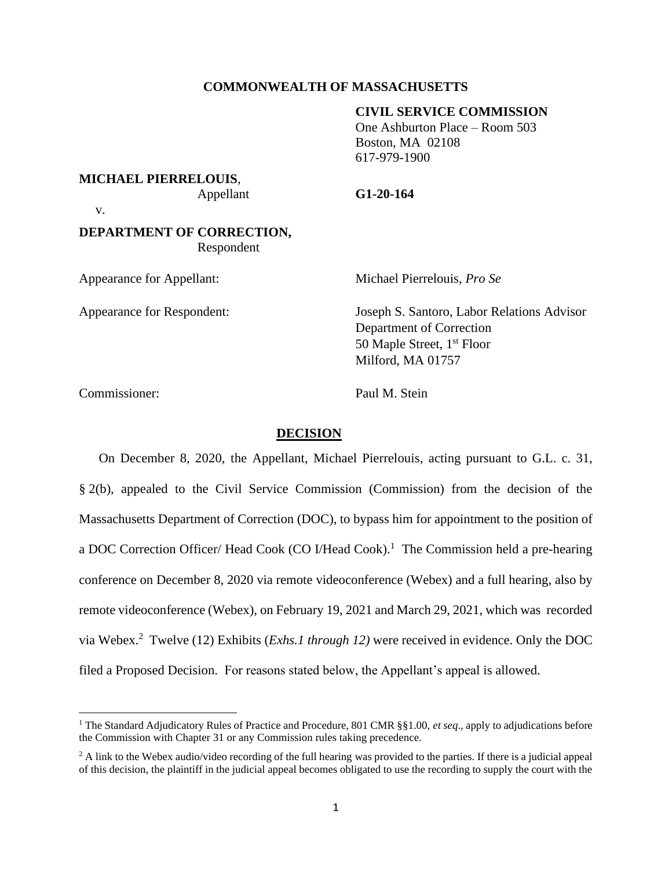### **COMMONWEALTH OF MASSACHUSETTS**

#### **CIVIL SERVICE COMMISSION**

One Ashburton Place – Room 503 Boston, MA 02108 617-979-1900

**MICHAEL PIERRELOUIS**,

Appellant **G1-20-164**

v.

# **DEPARTMENT OF CORRECTION,** Respondent

Appearance for Appellant: Michael Pierrelouis, *Pro Se*

Appearance for Respondent: Joseph S. Santoro, Labor Relations Advisor Department of Correction 50 Maple Street, 1<sup>st</sup> Floor Milford, MA 01757

Commissioner: Paul M. Stein

### **DECISION**

On December 8, 2020, the Appellant, Michael Pierrelouis, acting pursuant to G.L. c. 31, § 2(b), appealed to the Civil Service Commission (Commission) from the decision of the Massachusetts Department of Correction (DOC), to bypass him for appointment to the position of a DOC Correction Officer/ Head Cook (CO I/Head Cook).<sup>1</sup> The Commission held a pre-hearing conference on December 8, 2020 via remote videoconference (Webex) and a full hearing, also by remote videoconference (Webex), on February 19, 2021 and March 29, 2021, which was recorded via Webex. 2 Twelve (12) Exhibits (*Exhs.1 through 12)* were received in evidence. Only the DOC filed a Proposed Decision. For reasons stated below, the Appellant's appeal is allowed.

<sup>1</sup> The Standard Adjudicatory Rules of Practice and Procedure, 801 CMR §§1.00, *et seq*., apply to adjudications before the Commission with Chapter 31 or any Commission rules taking precedence.

<sup>&</sup>lt;sup>2</sup> A link to the Webex audio/video recording of the full hearing was provided to the parties. If there is a judicial appeal of this decision, the plaintiff in the judicial appeal becomes obligated to use the recording to supply the court with the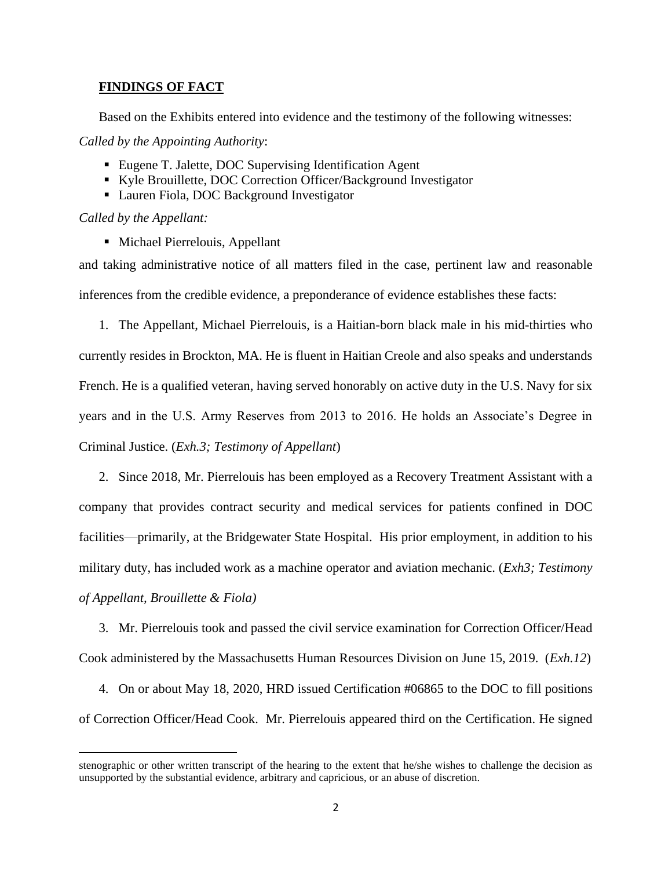# **FINDINGS OF FACT**

Based on the Exhibits entered into evidence and the testimony of the following witnesses:

*Called by the Appointing Authority*:

- Eugene T. Jalette, DOC Supervising Identification Agent
- Kyle Brouillette, DOC Correction Officer/Background Investigator
- Lauren Fiola, DOC Background Investigator

*Called by the Appellant:*

■ Michael Pierrelouis, Appellant

and taking administrative notice of all matters filed in the case, pertinent law and reasonable inferences from the credible evidence, a preponderance of evidence establishes these facts:

1. The Appellant, Michael Pierrelouis, is a Haitian-born black male in his mid-thirties who currently resides in Brockton, MA. He is fluent in Haitian Creole and also speaks and understands French. He is a qualified veteran, having served honorably on active duty in the U.S. Navy for six years and in the U.S. Army Reserves from 2013 to 2016. He holds an Associate's Degree in Criminal Justice. (*Exh.3; Testimony of Appellant*)

2. Since 2018, Mr. Pierrelouis has been employed as a Recovery Treatment Assistant with a company that provides contract security and medical services for patients confined in DOC facilities—primarily, at the Bridgewater State Hospital. His prior employment, in addition to his military duty, has included work as a machine operator and aviation mechanic. (*Exh3; Testimony of Appellant, Brouillette & Fiola)*

3. Mr. Pierrelouis took and passed the civil service examination for Correction Officer/Head Cook administered by the Massachusetts Human Resources Division on June 15, 2019. (*Exh.12*)

4. On or about May 18, 2020, HRD issued Certification #06865 to the DOC to fill positions of Correction Officer/Head Cook. Mr. Pierrelouis appeared third on the Certification. He signed

stenographic or other written transcript of the hearing to the extent that he/she wishes to challenge the decision as unsupported by the substantial evidence, arbitrary and capricious, or an abuse of discretion.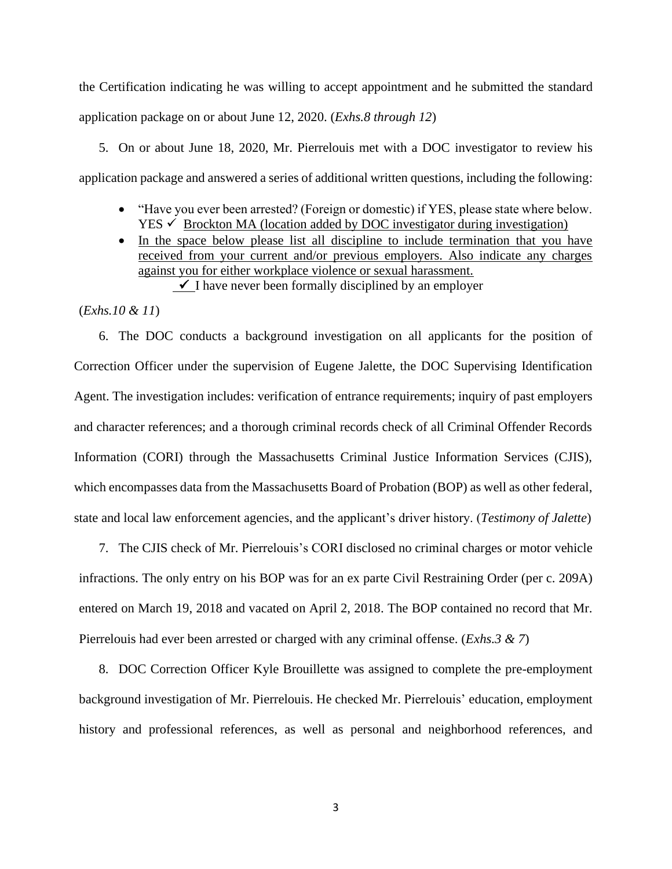the Certification indicating he was willing to accept appointment and he submitted the standard application package on or about June 12, 2020. (*Exhs.8 through 12*)

5. On or about June 18, 2020, Mr. Pierrelouis met with a DOC investigator to review his application package and answered a series of additional written questions, including the following:

- "Have you ever been arrested? (Foreign or domestic) if YES, please state where below.  $YES \checkmark$  Brockton MA (location added by DOC investigator during investigation)
- In the space below please list all discipline to include termination that you have received from your current and/or previous employers. Also indicate any charges against you for either workplace violence or sexual harassment. ✓I have never been formally disciplined by an employer

(*Exhs.10 & 11*)

6. The DOC conducts a background investigation on all applicants for the position of Correction Officer under the supervision of Eugene Jalette, the DOC Supervising Identification Agent. The investigation includes: verification of entrance requirements; inquiry of past employers and character references; and a thorough criminal records check of all Criminal Offender Records Information (CORI) through the Massachusetts Criminal Justice Information Services (CJIS), which encompasses data from the Massachusetts Board of Probation (BOP) as well as other federal, state and local law enforcement agencies, and the applicant's driver history. (*Testimony of Jalette*)

7. The CJIS check of Mr. Pierrelouis's CORI disclosed no criminal charges or motor vehicle infractions. The only entry on his BOP was for an ex parte Civil Restraining Order (per c. 209A) entered on March 19, 2018 and vacated on April 2, 2018. The BOP contained no record that Mr. Pierrelouis had ever been arrested or charged with any criminal offense. (*Exhs.3 & 7*)

8. DOC Correction Officer Kyle Brouillette was assigned to complete the pre-employment background investigation of Mr. Pierrelouis. He checked Mr. Pierrelouis' education, employment history and professional references, as well as personal and neighborhood references, and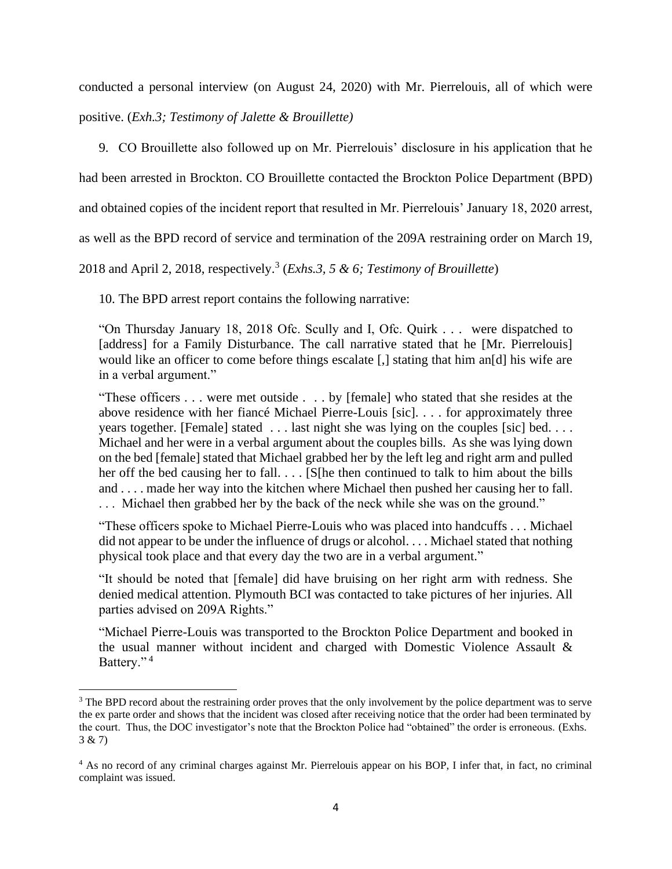conducted a personal interview (on August 24, 2020) with Mr. Pierrelouis, all of which were

positive. (*Exh.3; Testimony of Jalette & Brouillette)*

9. CO Brouillette also followed up on Mr. Pierrelouis' disclosure in his application that he

had been arrested in Brockton. CO Brouillette contacted the Brockton Police Department (BPD)

and obtained copies of the incident report that resulted in Mr. Pierrelouis' January 18, 2020 arrest,

as well as the BPD record of service and termination of the 209A restraining order on March 19,

2018 and April 2, 2018, respectively. 3 (*Exhs.3, 5 & 6; Testimony of Brouillette*)

10. The BPD arrest report contains the following narrative:

"On Thursday January 18, 2018 Ofc. Scully and I, Ofc. Quirk . . . were dispatched to [address] for a Family Disturbance. The call narrative stated that he [Mr. Pierrelouis] would like an officer to come before things escalate [,] stating that him an[d] his wife are in a verbal argument."

"These officers . . . were met outside . . . by [female] who stated that she resides at the above residence with her fiancé Michael Pierre-Louis [sic]. . . . for approximately three years together. [Female] stated . . . last night she was lying on the couples [sic] bed. . . . Michael and her were in a verbal argument about the couples bills. As she was lying down on the bed [female] stated that Michael grabbed her by the left leg and right arm and pulled her off the bed causing her to fall. . . . [S[he then continued to talk to him about the bills and . . . . made her way into the kitchen where Michael then pushed her causing her to fall. . . . Michael then grabbed her by the back of the neck while she was on the ground."

"These officers spoke to Michael Pierre-Louis who was placed into handcuffs . . . Michael did not appear to be under the influence of drugs or alcohol. . . . Michael stated that nothing physical took place and that every day the two are in a verbal argument."

"It should be noted that [female] did have bruising on her right arm with redness. She denied medical attention. Plymouth BCI was contacted to take pictures of her injuries. All parties advised on 209A Rights."

"Michael Pierre-Louis was transported to the Brockton Police Department and booked in the usual manner without incident and charged with Domestic Violence Assault & Battery."<sup>4</sup>

<sup>&</sup>lt;sup>3</sup> The BPD record about the restraining order proves that the only involvement by the police department was to serve the ex parte order and shows that the incident was closed after receiving notice that the order had been terminated by the court. Thus, the DOC investigator's note that the Brockton Police had "obtained" the order is erroneous. (Exhs. 3 & 7)

<sup>4</sup> As no record of any criminal charges against Mr. Pierrelouis appear on his BOP, I infer that, in fact, no criminal complaint was issued.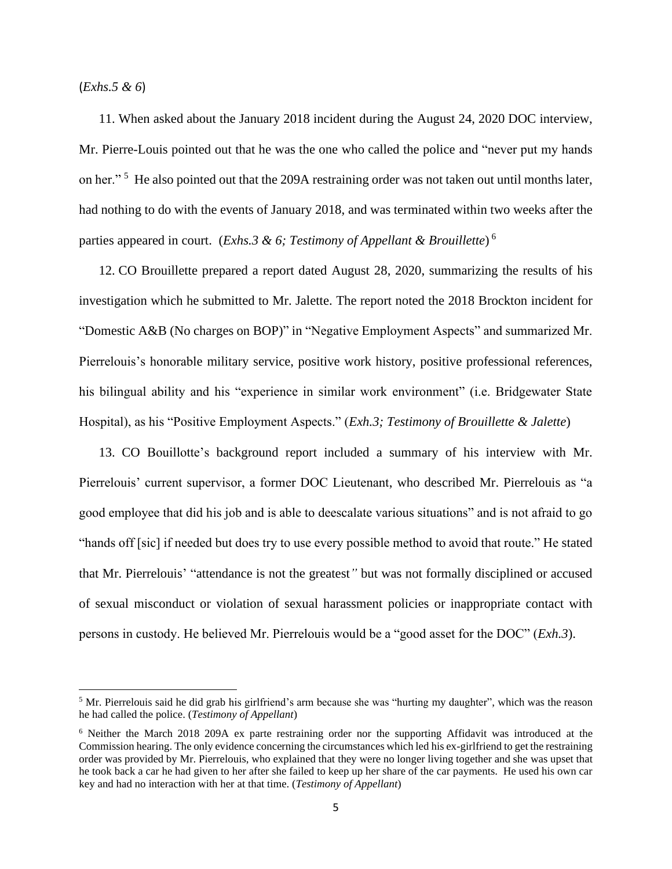(*Exhs.5 & 6*)

11. When asked about the January 2018 incident during the August 24, 2020 DOC interview, Mr. Pierre-Louis pointed out that he was the one who called the police and "never put my hands on her."<sup>5</sup> He also pointed out that the 209A restraining order was not taken out until months later, had nothing to do with the events of January 2018, and was terminated within two weeks after the parties appeared in court. (*Exhs.3 & 6; Testimony of Appellant & Brouillette*) 6

12. CO Brouillette prepared a report dated August 28, 2020, summarizing the results of his investigation which he submitted to Mr. Jalette. The report noted the 2018 Brockton incident for "Domestic A&B (No charges on BOP)" in "Negative Employment Aspects" and summarized Mr. Pierrelouis's honorable military service, positive work history, positive professional references, his bilingual ability and his "experience in similar work environment" (i.e. Bridgewater State Hospital), as his "Positive Employment Aspects." (*Exh.3; Testimony of Brouillette & Jalette*)

13. CO Bouillotte's background report included a summary of his interview with Mr. Pierrelouis' current supervisor, a former DOC Lieutenant, who described Mr. Pierrelouis as "a good employee that did his job and is able to deescalate various situations" and is not afraid to go "hands off [sic] if needed but does try to use every possible method to avoid that route." He stated that Mr. Pierrelouis' "attendance is not the greatest*"* but was not formally disciplined or accused of sexual misconduct or violation of sexual harassment policies or inappropriate contact with persons in custody. He believed Mr. Pierrelouis would be a "good asset for the DOC" (*Exh.3*).

<sup>5</sup> Mr. Pierrelouis said he did grab his girlfriend's arm because she was "hurting my daughter", which was the reason he had called the police. (*Testimony of Appellant*)

<sup>6</sup> Neither the March 2018 209A ex parte restraining order nor the supporting Affidavit was introduced at the Commission hearing. The only evidence concerning the circumstances which led his ex-girlfriend to get the restraining order was provided by Mr. Pierrelouis, who explained that they were no longer living together and she was upset that he took back a car he had given to her after she failed to keep up her share of the car payments. He used his own car key and had no interaction with her at that time. (*Testimony of Appellant*)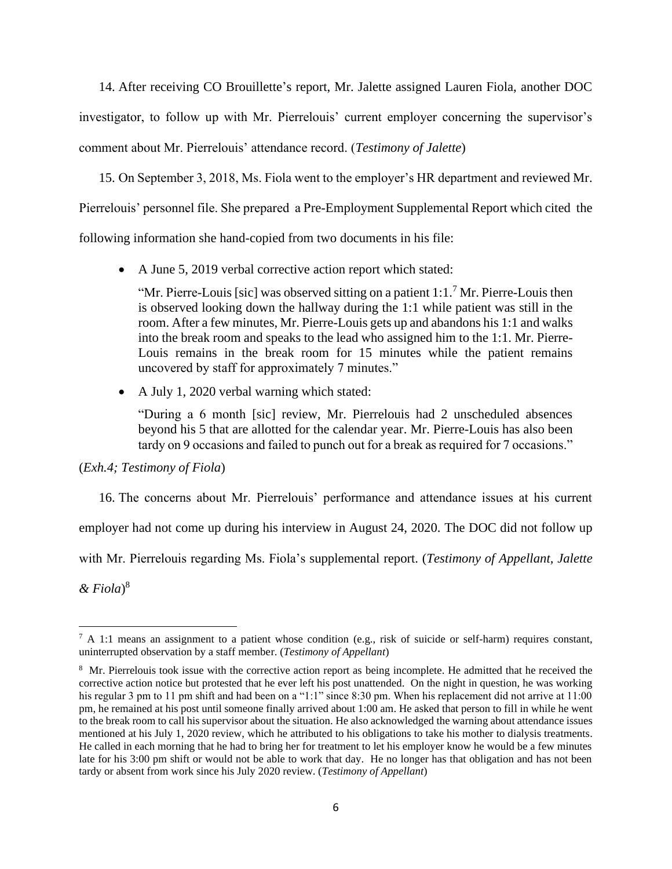14. After receiving CO Brouillette's report, Mr. Jalette assigned Lauren Fiola, another DOC investigator, to follow up with Mr. Pierrelouis' current employer concerning the supervisor's comment about Mr. Pierrelouis' attendance record. (*Testimony of Jalette*)

15. On September 3, 2018, Ms. Fiola went to the employer's HR department and reviewed Mr. Pierrelouis' personnel file. She prepared a Pre-Employment Supplemental Report which cited the

following information she hand-copied from two documents in his file:

• A June 5, 2019 verbal corrective action report which stated:

"Mr. Pierre-Louis [sic] was observed sitting on a patient  $1:1.^7$  Mr. Pierre-Louis then is observed looking down the hallway during the 1:1 while patient was still in the room. After a few minutes, Mr. Pierre-Louis gets up and abandons his 1:1 and walks into the break room and speaks to the lead who assigned him to the 1:1. Mr. Pierre-Louis remains in the break room for 15 minutes while the patient remains uncovered by staff for approximately 7 minutes."

• A July 1, 2020 verbal warning which stated:

"During a 6 month [sic] review, Mr. Pierrelouis had 2 unscheduled absences beyond his 5 that are allotted for the calendar year. Mr. Pierre-Louis has also been tardy on 9 occasions and failed to punch out for a break as required for 7 occasions."

# (*Exh.4; Testimony of Fiola*)

16. The concerns about Mr. Pierrelouis' performance and attendance issues at his current employer had not come up during his interview in August 24, 2020. The DOC did not follow up with Mr. Pierrelouis regarding Ms. Fiola's supplemental report. (*Testimony of Appellant, Jalette & Fiola*) 8

 $7 A 1:1$  means an assignment to a patient whose condition (e.g., risk of suicide or self-harm) requires constant, uninterrupted observation by a staff member. (*Testimony of Appellant*)

<sup>&</sup>lt;sup>8</sup> Mr. Pierrelouis took issue with the corrective action report as being incomplete. He admitted that he received the corrective action notice but protested that he ever left his post unattended. On the night in question, he was working his regular 3 pm to 11 pm shift and had been on a "1:1" since 8:30 pm. When his replacement did not arrive at 11:00 pm, he remained at his post until someone finally arrived about 1:00 am. He asked that person to fill in while he went to the break room to call his supervisor about the situation. He also acknowledged the warning about attendance issues mentioned at his July 1, 2020 review, which he attributed to his obligations to take his mother to dialysis treatments. He called in each morning that he had to bring her for treatment to let his employer know he would be a few minutes late for his 3:00 pm shift or would not be able to work that day. He no longer has that obligation and has not been tardy or absent from work since his July 2020 review. (*Testimony of Appellant*)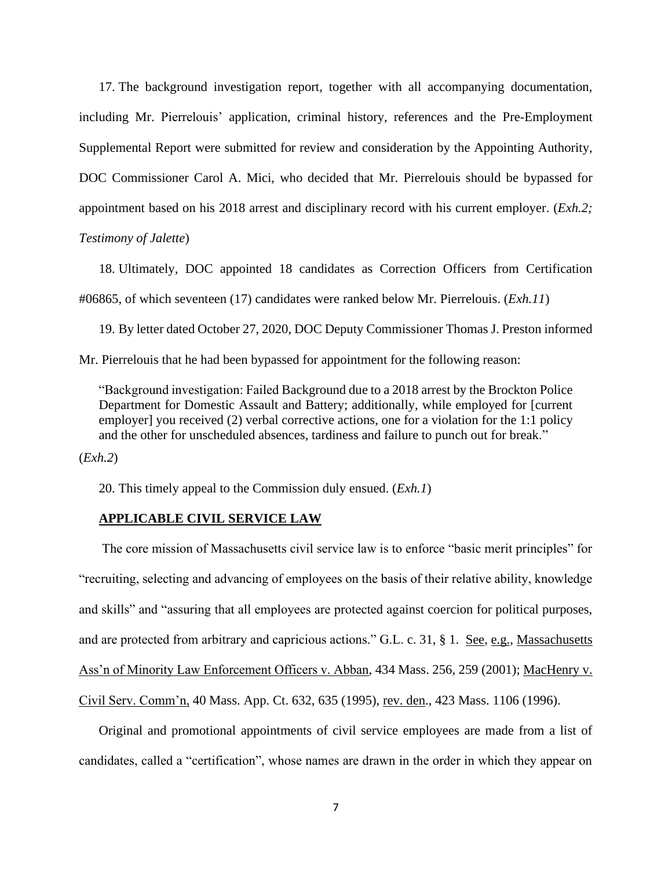17. The background investigation report, together with all accompanying documentation, including Mr. Pierrelouis' application, criminal history, references and the Pre-Employment Supplemental Report were submitted for review and consideration by the Appointing Authority, DOC Commissioner Carol A. Mici, who decided that Mr. Pierrelouis should be bypassed for appointment based on his 2018 arrest and disciplinary record with his current employer. (*Exh.2; Testimony of Jalette*)

18. Ultimately, DOC appointed 18 candidates as Correction Officers from Certification #06865, of which seventeen (17) candidates were ranked below Mr. Pierrelouis. (*Exh.11*)

19. By letter dated October 27, 2020, DOC Deputy Commissioner Thomas J. Preston informed Mr. Pierrelouis that he had been bypassed for appointment for the following reason:

"Background investigation: Failed Background due to a 2018 arrest by the Brockton Police Department for Domestic Assault and Battery; additionally, while employed for [current employer] you received (2) verbal corrective actions, one for a violation for the 1:1 policy and the other for unscheduled absences, tardiness and failure to punch out for break."

(*Exh.2*)

20. This timely appeal to the Commission duly ensued. (*Exh.1*)

# **APPLICABLE CIVIL SERVICE LAW**

 The core mission of Massachusetts civil service law is to enforce "basic merit principles" for "recruiting, selecting and advancing of employees on the basis of their relative ability, knowledge and skills" and "assuring that all employees are protected against coercion for political purposes, and are protected from arbitrary and capricious actions." G.L. c. 31, § 1. See, e.g., Massachusetts Ass'n of Minority Law Enforcement Officers v. Abban, 434 Mass. 256, 259 (2001); MacHenry v. Civil Serv. Comm'n, 40 Mass. App. Ct. 632, 635 (1995), rev. den., 423 Mass. 1106 (1996).

Original and promotional appointments of civil service employees are made from a list of candidates, called a "certification", whose names are drawn in the order in which they appear on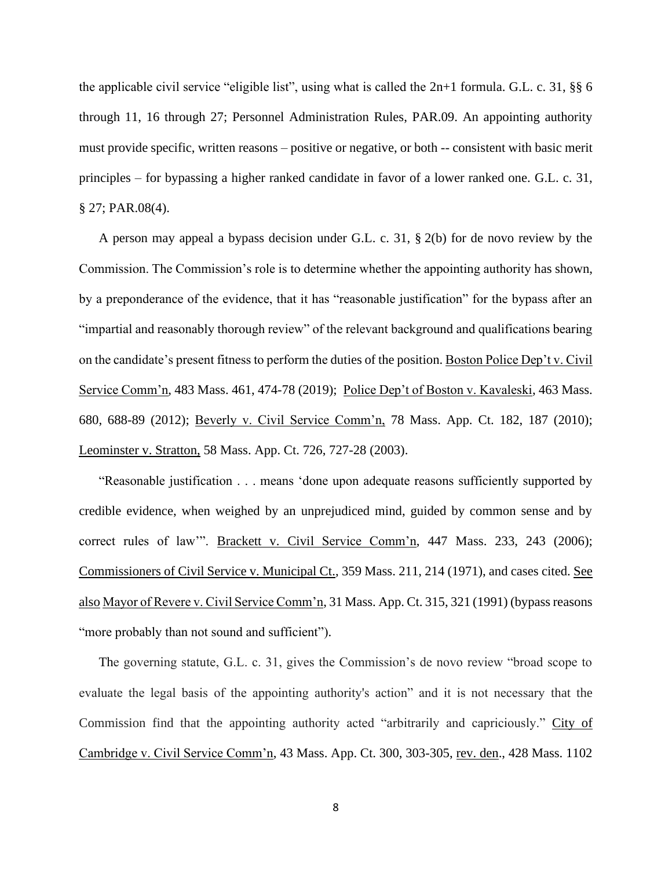the applicable civil service "eligible list", using what is called the 2n+1 formula. G.L. c. 31, §§ 6 through 11, 16 through 27; Personnel Administration Rules, PAR.09. An appointing authority must provide specific, written reasons – positive or negative, or both -- consistent with basic merit principles – for bypassing a higher ranked candidate in favor of a lower ranked one. G.L. c. 31, § 27; PAR.08(4).

A person may appeal a bypass decision under G.L. c. 31, § 2(b) for de novo review by the Commission. The Commission's role is to determine whether the appointing authority has shown, by a preponderance of the evidence, that it has "reasonable justification" for the bypass after an "impartial and reasonably thorough review" of the relevant background and qualifications bearing on the candidate's present fitness to perform the duties of the position. Boston Police Dep't v. Civil Service Comm'n, 483 Mass. 461, 474-78 (2019); Police Dep't of Boston v. Kavaleski, 463 Mass. 680, 688-89 (2012); Beverly v. Civil Service Comm'n, 78 Mass. App. Ct. 182, 187 (2010); Leominster v. Stratton, 58 Mass. App. Ct. 726, 727-28 (2003).

"Reasonable justification . . . means 'done upon adequate reasons sufficiently supported by credible evidence, when weighed by an unprejudiced mind, guided by common sense and by correct rules of law". Brackett v. Civil Service Comm'n, 447 Mass. 233, 243 (2006); Commissioners of Civil Service v. Municipal Ct., 359 Mass. 211, 214 (1971), and cases cited. See also Mayor of Revere v. Civil Service Comm'n, 31 Mass. App. Ct. 315, 321 (1991) (bypass reasons "more probably than not sound and sufficient").

The governing statute, G.L. c. 31, gives the Commission's de novo review "broad scope to evaluate the legal basis of the appointing authority's action" and it is not necessary that the Commission find that the appointing authority acted "arbitrarily and capriciously." City of Cambridge v. Civil Service Comm'n, 43 Mass. App. Ct. 300, 303-305, rev. den., 428 Mass. 1102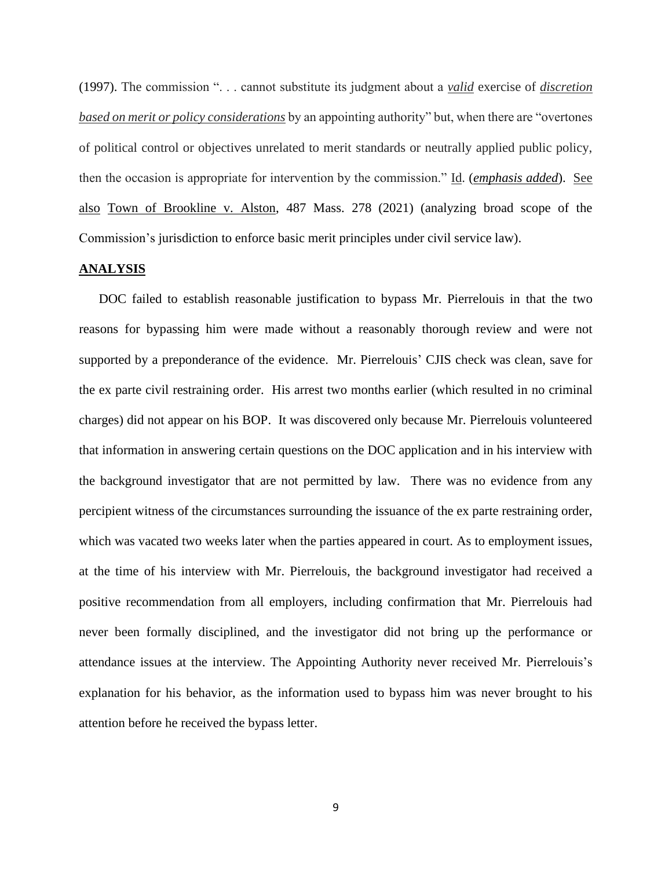(1997). The commission ". . . cannot substitute its judgment about a *valid* exercise of *discretion based on merit or policy considerations* by an appointing authority" but, when there are "overtones of political control or objectives unrelated to merit standards or neutrally applied public policy, then the occasion is appropriate for intervention by the commission." Id. (*emphasis added*). See also Town of Brookline v. Alston, 487 Mass. 278 (2021) (analyzing broad scope of the Commission's jurisdiction to enforce basic merit principles under civil service law).

#### **ANALYSIS**

DOC failed to establish reasonable justification to bypass Mr. Pierrelouis in that the two reasons for bypassing him were made without a reasonably thorough review and were not supported by a preponderance of the evidence. Mr. Pierrelouis' CJIS check was clean, save for the ex parte civil restraining order. His arrest two months earlier (which resulted in no criminal charges) did not appear on his BOP. It was discovered only because Mr. Pierrelouis volunteered that information in answering certain questions on the DOC application and in his interview with the background investigator that are not permitted by law. There was no evidence from any percipient witness of the circumstances surrounding the issuance of the ex parte restraining order, which was vacated two weeks later when the parties appeared in court. As to employment issues, at the time of his interview with Mr. Pierrelouis, the background investigator had received a positive recommendation from all employers, including confirmation that Mr. Pierrelouis had never been formally disciplined, and the investigator did not bring up the performance or attendance issues at the interview. The Appointing Authority never received Mr. Pierrelouis's explanation for his behavior, as the information used to bypass him was never brought to his attention before he received the bypass letter.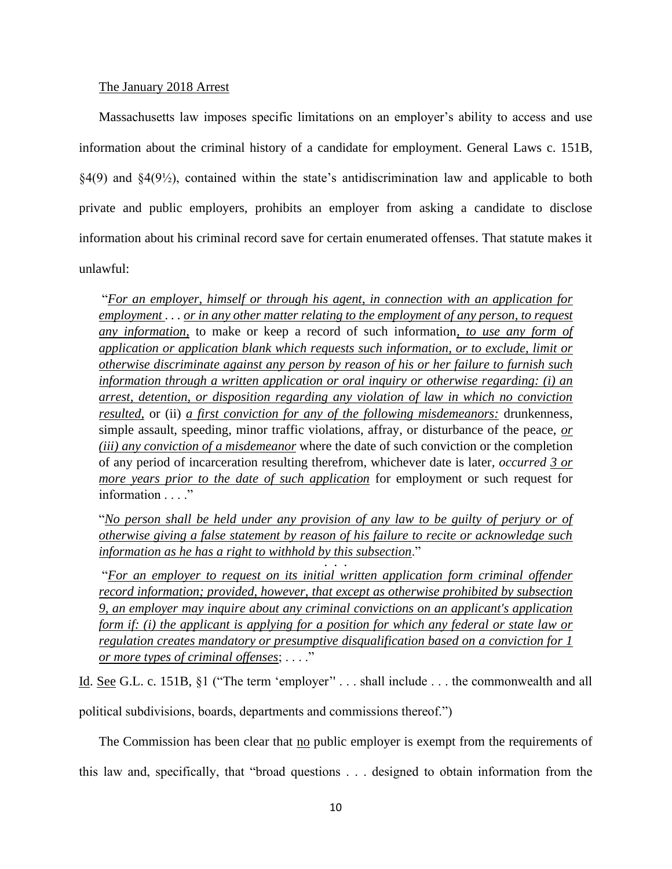### The January 2018 Arrest

Massachusetts law imposes specific limitations on an employer's ability to access and use information about the criminal history of a candidate for employment. General Laws c. 151B, §4(9) and §4(9½), contained within the state's antidiscrimination law and applicable to both private and public employers, prohibits an employer from asking a candidate to disclose information about his criminal record save for certain enumerated offenses. That statute makes it unlawful:

"*For an employer, himself or through his agent, in connection with an application for employment . . . or in any other matter relating to the employment of any person, to request any information,* to make or keep a record of such information*, to use any form of application or application blank which requests such information, or to exclude, limit or otherwise discriminate against any person by reason of his or her failure to furnish such information through a written application or oral inquiry or otherwise regarding: (i) an arrest, detention, or disposition regarding any violation of law in which no conviction resulted,* or (ii) *a first conviction for any of the following misdemeanors:* drunkenness, simple assault, speeding, minor traffic violations, affray, or disturbance of the peace, *or (iii) any conviction of a misdemeanor* where the date of such conviction or the completion of any period of incarceration resulting therefrom, whichever date is later*, occurred 3 or more years prior to the date of such application* for employment or such request for information . . . ."

"*No person shall be held under any provision of any law to be guilty of perjury or of otherwise giving a false statement by reason of his failure to recite or acknowledge such information as he has a right to withhold by this subsection*." . . . .

"*For an employer to request on its initial written application form criminal offender record information; provided, however, that except as otherwise prohibited by subsection 9, an employer may inquire about any criminal convictions on an applicant's application form if: (i) the applicant is applying for a position for which any federal or state law or regulation creates mandatory or presumptive disqualification based on a conviction for 1 or more types of criminal offenses*; . . . ."

Id. See G.L. c. 151B, §1 ("The term 'employer'' . . . shall include . . . the commonwealth and all political subdivisions, boards, departments and commissions thereof.")

The Commission has been clear that no public employer is exempt from the requirements of this law and, specifically, that "broad questions . . . designed to obtain information from the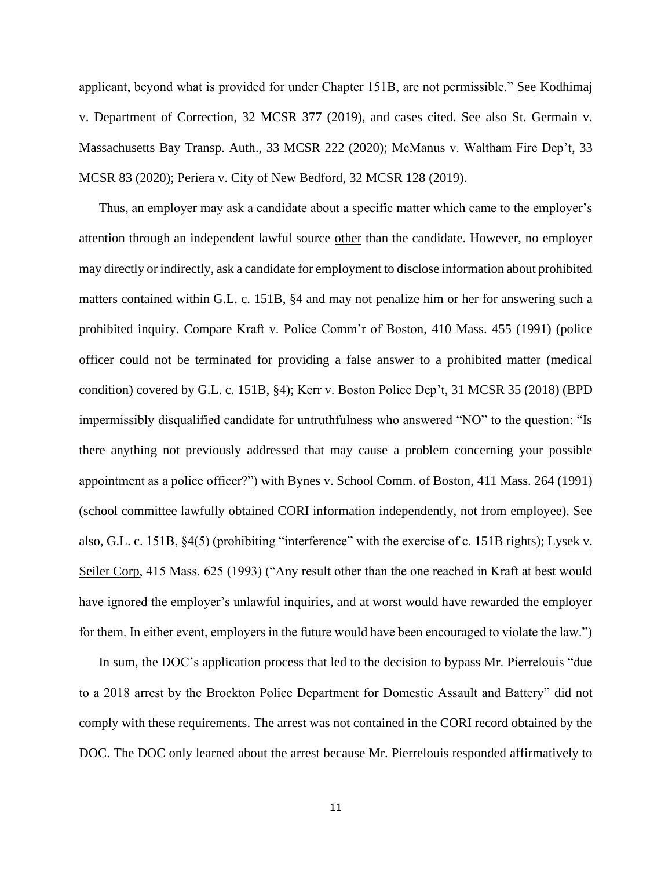applicant, beyond what is provided for under Chapter 151B, are not permissible." See Kodhimaj v. Department of Correction, 32 MCSR 377 (2019), and cases cited. See also St. Germain v. Massachusetts Bay Transp. Auth., 33 MCSR 222 (2020); McManus v. Waltham Fire Dep't, 33 MCSR 83 (2020); Periera v. City of New Bedford, 32 MCSR 128 (2019).

Thus, an employer may ask a candidate about a specific matter which came to the employer's attention through an independent lawful source other than the candidate. However, no employer may directly or indirectly, ask a candidate for employment to disclose information about prohibited matters contained within G.L. c. 151B, §4 and may not penalize him or her for answering such a prohibited inquiry. Compare Kraft v. Police Comm'r of Boston, 410 Mass. 455 (1991) (police officer could not be terminated for providing a false answer to a prohibited matter (medical condition) covered by G.L. c. 151B, §4); Kerr v. Boston Police Dep't, 31 MCSR 35 (2018) (BPD impermissibly disqualified candidate for untruthfulness who answered "NO" to the question: "Is there anything not previously addressed that may cause a problem concerning your possible appointment as a police officer?") with Bynes v. School Comm. of Boston, 411 Mass. 264 (1991) (school committee lawfully obtained CORI information independently, not from employee). See also, G.L. c. 151B, §4(5) (prohibiting "interference" with the exercise of c. 151B rights); Lysek v. Seiler Corp, 415 Mass. 625 (1993) ("Any result other than the one reached in Kraft at best would have ignored the employer's unlawful inquiries, and at worst would have rewarded the employer for them. In either event, employers in the future would have been encouraged to violate the law.")

In sum, the DOC's application process that led to the decision to bypass Mr. Pierrelouis "due to a 2018 arrest by the Brockton Police Department for Domestic Assault and Battery" did not comply with these requirements. The arrest was not contained in the CORI record obtained by the DOC. The DOC only learned about the arrest because Mr. Pierrelouis responded affirmatively to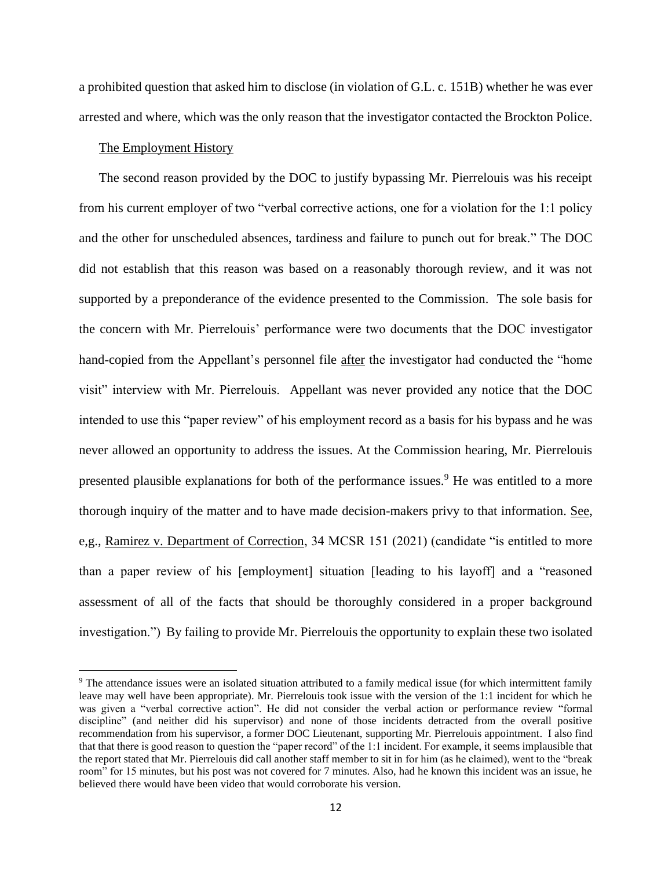a prohibited question that asked him to disclose (in violation of G.L. c. 151B) whether he was ever arrested and where, which was the only reason that the investigator contacted the Brockton Police.

### The Employment History

The second reason provided by the DOC to justify bypassing Mr. Pierrelouis was his receipt from his current employer of two "verbal corrective actions, one for a violation for the 1:1 policy and the other for unscheduled absences, tardiness and failure to punch out for break." The DOC did not establish that this reason was based on a reasonably thorough review, and it was not supported by a preponderance of the evidence presented to the Commission. The sole basis for the concern with Mr. Pierrelouis' performance were two documents that the DOC investigator hand-copied from the Appellant's personnel file after the investigator had conducted the "home visit" interview with Mr. Pierrelouis. Appellant was never provided any notice that the DOC intended to use this "paper review" of his employment record as a basis for his bypass and he was never allowed an opportunity to address the issues. At the Commission hearing, Mr. Pierrelouis presented plausible explanations for both of the performance issues.<sup>9</sup> He was entitled to a more thorough inquiry of the matter and to have made decision-makers privy to that information. See, e,g., Ramirez v. Department of Correction, 34 MCSR 151 (2021) (candidate "is entitled to more than a paper review of his [employment] situation [leading to his layoff] and a "reasoned assessment of all of the facts that should be thoroughly considered in a proper background investigation.") By failing to provide Mr. Pierrelouis the opportunity to explain these two isolated

<sup>&</sup>lt;sup>9</sup> The attendance issues were an isolated situation attributed to a family medical issue (for which intermittent family leave may well have been appropriate). Mr. Pierrelouis took issue with the version of the 1:1 incident for which he was given a "verbal corrective action". He did not consider the verbal action or performance review "formal discipline" (and neither did his supervisor) and none of those incidents detracted from the overall positive recommendation from his supervisor, a former DOC Lieutenant, supporting Mr. Pierrelouis appointment. I also find that that there is good reason to question the "paper record" of the 1:1 incident. For example, it seems implausible that the report stated that Mr. Pierrelouis did call another staff member to sit in for him (as he claimed), went to the "break room" for 15 minutes, but his post was not covered for 7 minutes. Also, had he known this incident was an issue, he believed there would have been video that would corroborate his version.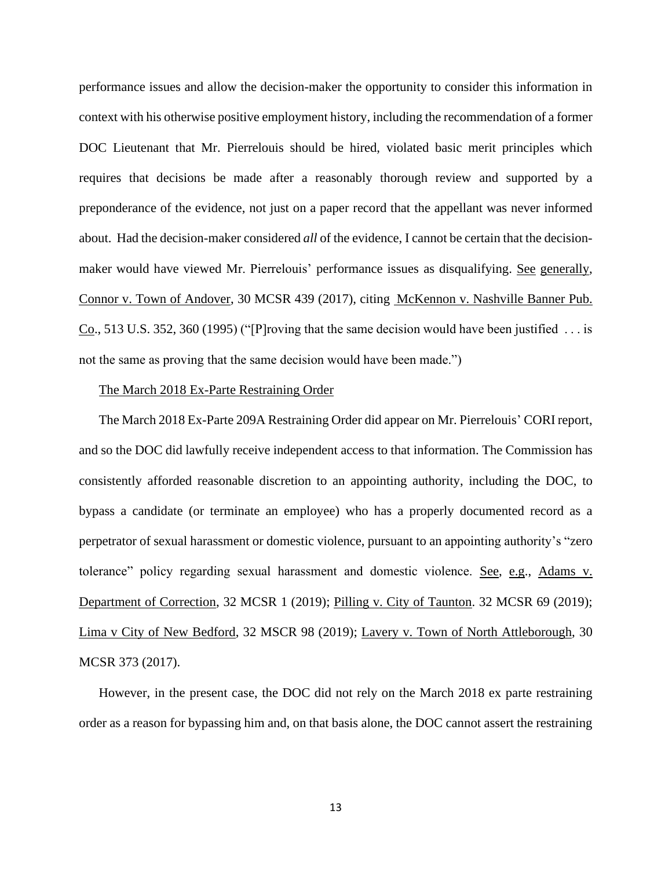performance issues and allow the decision-maker the opportunity to consider this information in context with his otherwise positive employment history, including the recommendation of a former DOC Lieutenant that Mr. Pierrelouis should be hired, violated basic merit principles which requires that decisions be made after a reasonably thorough review and supported by a preponderance of the evidence, not just on a paper record that the appellant was never informed about. Had the decision-maker considered *all* of the evidence, I cannot be certain that the decisionmaker would have viewed Mr. Pierrelouis' performance issues as disqualifying. See generally, Connor v. Town of Andover, 30 MCSR 439 (2017), citing McKennon v. Nashville Banner Pub. Co., 513 U.S. 352, 360 (1995) ("[P]roving that the same decision would have been justified . . . is not the same as proving that the same decision would have been made.")

### The March 2018 Ex-Parte Restraining Order

The March 2018 Ex-Parte 209A Restraining Order did appear on Mr. Pierrelouis' CORI report, and so the DOC did lawfully receive independent access to that information. The Commission has consistently afforded reasonable discretion to an appointing authority, including the DOC, to bypass a candidate (or terminate an employee) who has a properly documented record as a perpetrator of sexual harassment or domestic violence, pursuant to an appointing authority's "zero tolerance" policy regarding sexual harassment and domestic violence. See, e.g., Adams v. Department of Correction, 32 MCSR 1 (2019); Pilling v. City of Taunton. 32 MCSR 69 (2019); Lima v City of New Bedford, 32 MSCR 98 (2019); Lavery v. Town of North Attleborough, 30 MCSR 373 (2017).

However, in the present case, the DOC did not rely on the March 2018 ex parte restraining order as a reason for bypassing him and, on that basis alone, the DOC cannot assert the restraining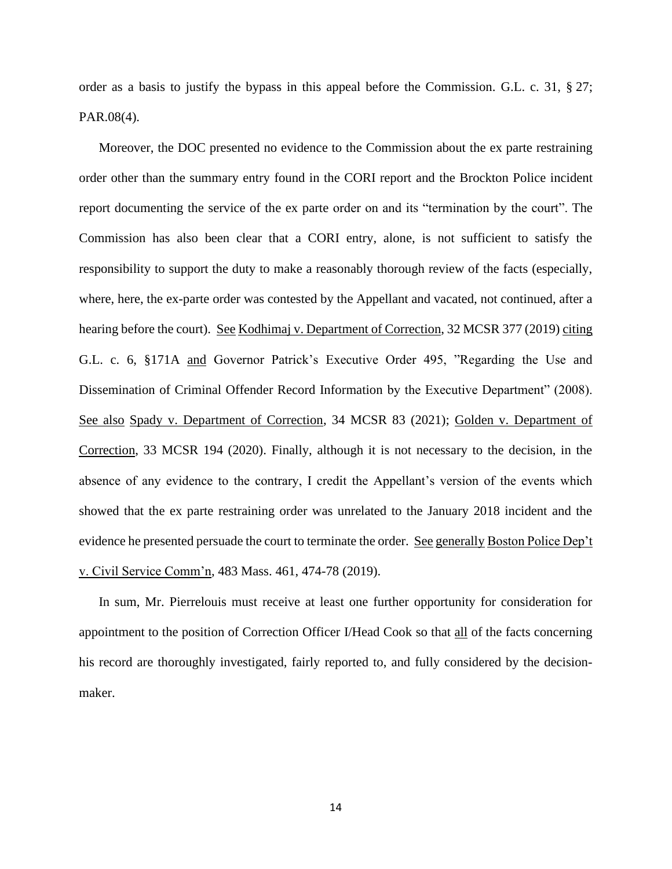order as a basis to justify the bypass in this appeal before the Commission. G.L. c. 31, § 27; PAR.08(4).

Moreover, the DOC presented no evidence to the Commission about the ex parte restraining order other than the summary entry found in the CORI report and the Brockton Police incident report documenting the service of the ex parte order on and its "termination by the court". The Commission has also been clear that a CORI entry, alone, is not sufficient to satisfy the responsibility to support the duty to make a reasonably thorough review of the facts (especially, where, here, the ex-parte order was contested by the Appellant and vacated, not continued, after a hearing before the court). See Kodhimaj v. Department of Correction, 32 MCSR 377 (2019) citing G.L. c. 6, §171A and Governor Patrick's Executive Order 495, "Regarding the Use and Dissemination of Criminal Offender Record Information by the Executive Department" (2008). See also Spady v. Department of Correction, 34 MCSR 83 (2021); Golden v. Department of Correction, 33 MCSR 194 (2020). Finally, although it is not necessary to the decision, in the absence of any evidence to the contrary, I credit the Appellant's version of the events which showed that the ex parte restraining order was unrelated to the January 2018 incident and the evidence he presented persuade the court to terminate the order. See generally Boston Police Dep't v. Civil Service Comm'n, 483 Mass. 461, 474-78 (2019).

In sum, Mr. Pierrelouis must receive at least one further opportunity for consideration for appointment to the position of Correction Officer I/Head Cook so that all of the facts concerning his record are thoroughly investigated, fairly reported to, and fully considered by the decisionmaker.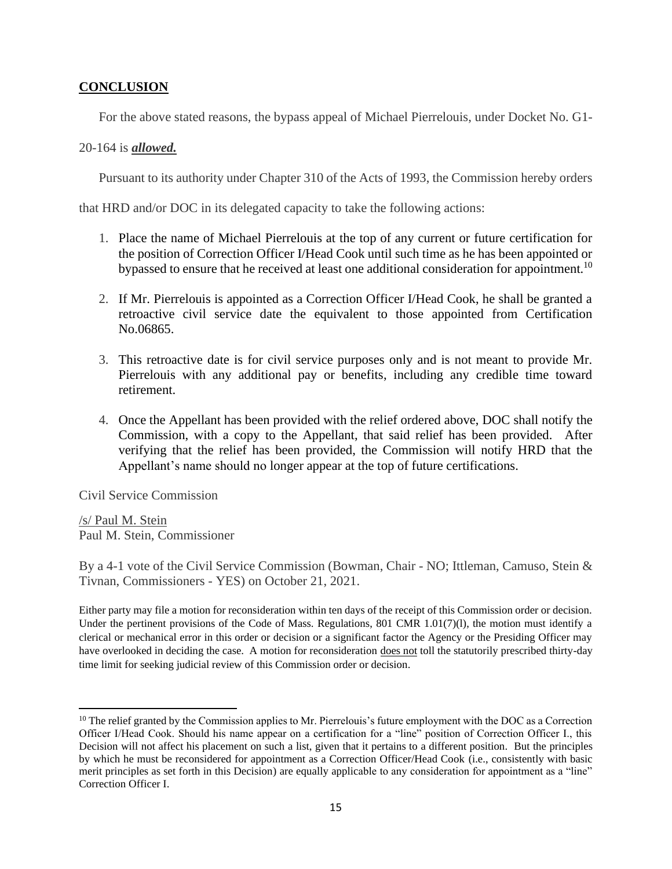# **CONCLUSION**

For the above stated reasons, the bypass appeal of Michael Pierrelouis, under Docket No. G1-

# 20-164 is *allowed.*

Pursuant to its authority under Chapter 310 of the Acts of 1993, the Commission hereby orders

that HRD and/or DOC in its delegated capacity to take the following actions:

- 1. Place the name of Michael Pierrelouis at the top of any current or future certification for the position of Correction Officer I/Head Cook until such time as he has been appointed or bypassed to ensure that he received at least one additional consideration for appointment.<sup>10</sup>
- 2. If Mr. Pierrelouis is appointed as a Correction Officer I/Head Cook, he shall be granted a retroactive civil service date the equivalent to those appointed from Certification No.06865.
- 3. This retroactive date is for civil service purposes only and is not meant to provide Mr. Pierrelouis with any additional pay or benefits, including any credible time toward retirement.
- 4. Once the Appellant has been provided with the relief ordered above, DOC shall notify the Commission, with a copy to the Appellant, that said relief has been provided. After verifying that the relief has been provided, the Commission will notify HRD that the Appellant's name should no longer appear at the top of future certifications.

Civil Service Commission

/s/ Paul M. Stein Paul M. Stein, Commissioner

By a 4-1 vote of the Civil Service Commission (Bowman, Chair - NO; Ittleman, Camuso, Stein & Tivnan, Commissioners - YES) on October 21, 2021.

Either party may file a motion for reconsideration within ten days of the receipt of this Commission order or decision. Under the pertinent provisions of the Code of Mass. Regulations, 801 CMR 1.01(7)(1), the motion must identify a clerical or mechanical error in this order or decision or a significant factor the Agency or the Presiding Officer may have overlooked in deciding the case. A motion for reconsideration does not toll the statutorily prescribed thirty-day time limit for seeking judicial review of this Commission order or decision.

<sup>&</sup>lt;sup>10</sup> The relief granted by the Commission applies to Mr. Pierrelouis's future employment with the DOC as a Correction Officer I/Head Cook. Should his name appear on a certification for a "line" position of Correction Officer I., this Decision will not affect his placement on such a list, given that it pertains to a different position. But the principles by which he must be reconsidered for appointment as a Correction Officer/Head Cook (i.e., consistently with basic merit principles as set forth in this Decision) are equally applicable to any consideration for appointment as a "line" Correction Officer I.